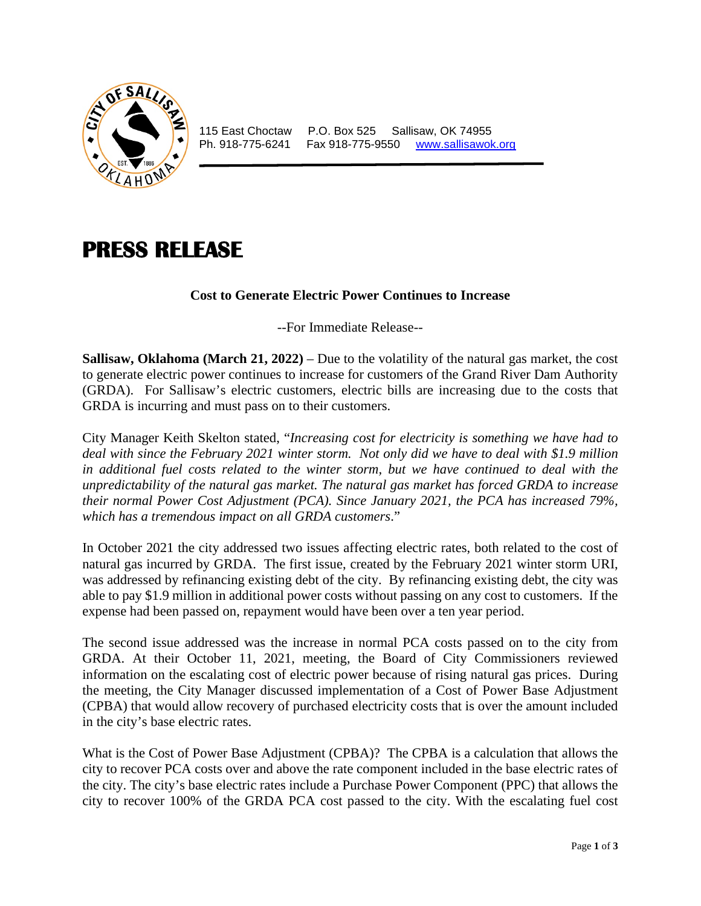

115 East Choctaw P.O. Box 525 Sallisaw, OK 74955<br>Ph. 918-775-6241 Fax 918-775-9550 www.sallisawok Fax 918-775-9550 [www.sallisawok.org](http://www.sallisawok.org/)

## **PRESS RELEASE**

## **Cost to Generate Electric Power Continues to Increase**

--For Immediate Release--

**Sallisaw, Oklahoma (March 21, 2022)** – Due to the volatility of the natural gas market, the cost to generate electric power continues to increase for customers of the Grand River Dam Authority (GRDA). For Sallisaw's electric customers, electric bills are increasing due to the costs that GRDA is incurring and must pass on to their customers.

City Manager Keith Skelton stated, "*Increasing cost for electricity is something we have had to deal with since the February 2021 winter storm. Not only did we have to deal with \$1.9 million in additional fuel costs related to the winter storm, but we have continued to deal with the unpredictability of the natural gas market. The natural gas market has forced GRDA to increase their normal Power Cost Adjustment (PCA). Since January 2021, the PCA has increased 79%, which has a tremendous impact on all GRDA customers*."

In October 2021 the city addressed two issues affecting electric rates, both related to the cost of natural gas incurred by GRDA. The first issue, created by the February 2021 winter storm URI, was addressed by refinancing existing debt of the city. By refinancing existing debt, the city was able to pay \$1.9 million in additional power costs without passing on any cost to customers. If the expense had been passed on, repayment would have been over a ten year period.

The second issue addressed was the increase in normal PCA costs passed on to the city from GRDA. At their October 11, 2021, meeting, the Board of City Commissioners reviewed information on the escalating cost of electric power because of rising natural gas prices. During the meeting, the City Manager discussed implementation of a Cost of Power Base Adjustment (CPBA) that would allow recovery of purchased electricity costs that is over the amount included in the city's base electric rates.

What is the Cost of Power Base Adjustment (CPBA)? The CPBA is a calculation that allows the city to recover PCA costs over and above the rate component included in the base electric rates of the city. The city's base electric rates include a Purchase Power Component (PPC) that allows the city to recover 100% of the GRDA PCA cost passed to the city. With the escalating fuel cost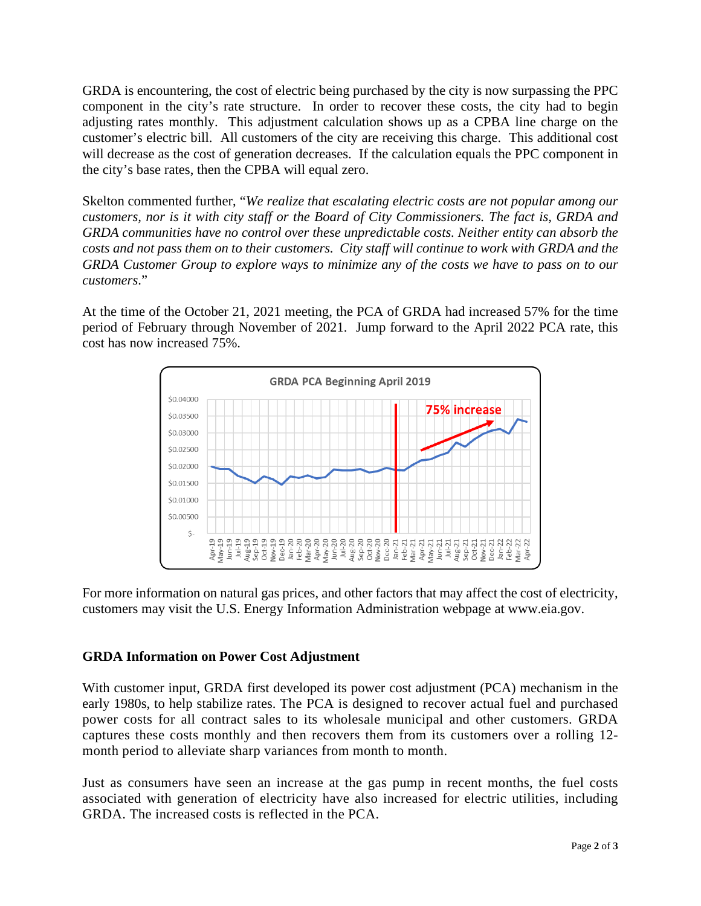GRDA is encountering, the cost of electric being purchased by the city is now surpassing the PPC component in the city's rate structure. In order to recover these costs, the city had to begin adjusting rates monthly. This adjustment calculation shows up as a CPBA line charge on the customer's electric bill. All customers of the city are receiving this charge. This additional cost will decrease as the cost of generation decreases. If the calculation equals the PPC component in the city's base rates, then the CPBA will equal zero.

Skelton commented further, "*We realize that escalating electric costs are not popular among our customers, nor is it with city staff or the Board of City Commissioners. The fact is, GRDA and GRDA communities have no control over these unpredictable costs. Neither entity can absorb the costs and not pass them on to their customers. City staff will continue to work with GRDA and the GRDA Customer Group to explore ways to minimize any of the costs we have to pass on to our customers*."

At the time of the October 21, 2021 meeting, the PCA of GRDA had increased 57% for the time period of February through November of 2021. Jump forward to the April 2022 PCA rate, this cost has now increased 75%.



For more information on natural gas prices, and other factors that may affect the cost of electricity, customers may visit the U.S. Energy Information Administration webpage at www.eia.gov.

## **GRDA Information on Power Cost Adjustment**

With customer input, GRDA first developed its power cost adjustment (PCA) mechanism in the early 1980s, to help stabilize rates. The PCA is designed to recover actual fuel and purchased power costs for all contract sales to its wholesale municipal and other customers. GRDA captures these costs monthly and then recovers them from its customers over a rolling 12 month period to alleviate sharp variances from month to month.

Just as consumers have seen an increase at the gas pump in recent months, the fuel costs associated with generation of electricity have also increased for electric utilities, including GRDA. The increased costs is reflected in the PCA.